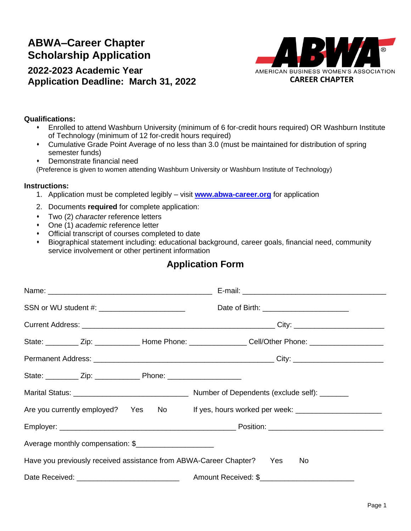# **Scholarship Application ABWA–Career Chapter**

## **2022-2023 Academic Year Application Deadline: March 31, 2022**



### **Qualifications:**

- ⬧ Enrolled to attend Washburn University (minimum of 6 for-credit hours required) OR Washburn Institute of Technology (minimum of 12 for-credit hours required)
- ⬧ Cumulative Grade Point Average of no less than 3.0 (must be maintained for distribution of spring semester funds)
- ⬧ Demonstrate financial need

(Preference is given to women attending Washburn University or Washburn Institute of Technology)

#### **Instructions:**

- 1. Application must be completed legibly visit **[www.abwa-career.org](http://www.abwa-career.org/)** for application
- 2. Documents **required** for complete application:
- ⬧ Two (2) *character* reference letters
- ⬧ One (1) *academic* reference letter
- ⬧ Official transcript of courses completed to date
- ⬧ Biographical statement including: educational background, career goals, financial need, community service involvement or other pertinent information

## **Application Form**

| SSN or WU student #: __________________________                       | Date of Birth: __________________________                                                                      |
|-----------------------------------------------------------------------|----------------------------------------------------------------------------------------------------------------|
|                                                                       |                                                                                                                |
|                                                                       | State: ___________ Zip: ________________ Home Phone: __________________ Cell/Other Phone: ____________________ |
|                                                                       |                                                                                                                |
|                                                                       |                                                                                                                |
|                                                                       |                                                                                                                |
|                                                                       | Are you currently employed? Yes No If yes, hours worked per week: _______________                              |
|                                                                       |                                                                                                                |
| Average monthly compensation: \$                                      |                                                                                                                |
| Have you previously received assistance from ABWA-Career Chapter? Yes | No.                                                                                                            |
|                                                                       |                                                                                                                |